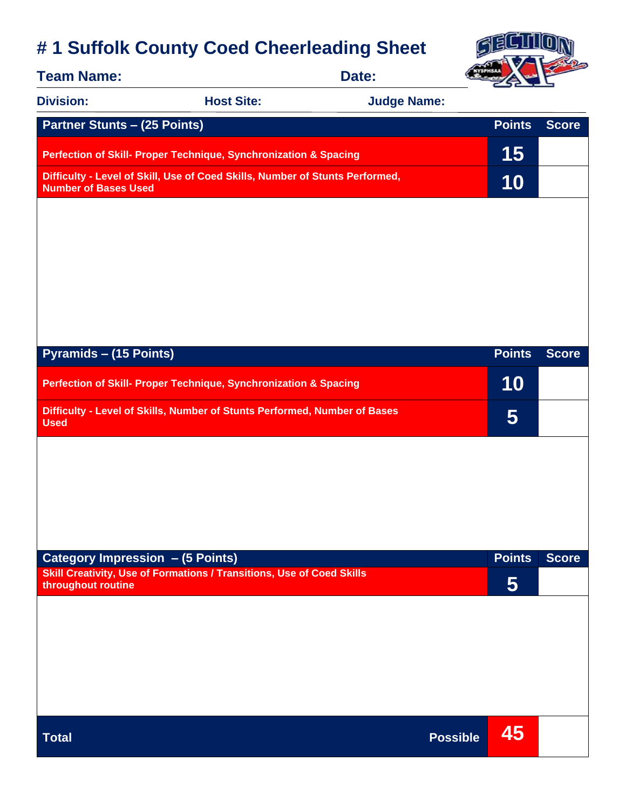## **# 1 Suffolk County Coed Cheerleading Sheet**

| <b>Team Name:</b>                                                                                           |                                                                           | Date:              |               |              |
|-------------------------------------------------------------------------------------------------------------|---------------------------------------------------------------------------|--------------------|---------------|--------------|
| <b>Division:</b>                                                                                            | <b>Host Site:</b>                                                         | <b>Judge Name:</b> |               |              |
| <b>Partner Stunts - (25 Points)</b>                                                                         | <b>Points</b>                                                             | <b>Score</b>       |               |              |
| Perfection of Skill- Proper Technique, Synchronization & Spacing                                            | 15                                                                        |                    |               |              |
| Difficulty - Level of Skill, Use of Coed Skills, Number of Stunts Performed,<br><b>Number of Bases Used</b> | 10                                                                        |                    |               |              |
|                                                                                                             |                                                                           |                    |               |              |
|                                                                                                             |                                                                           |                    |               |              |
|                                                                                                             |                                                                           |                    |               |              |
|                                                                                                             |                                                                           |                    |               |              |
|                                                                                                             |                                                                           |                    |               |              |
| <b>Pyramids - (15 Points)</b>                                                                               |                                                                           |                    | <b>Points</b> | <b>Score</b> |
|                                                                                                             | Perfection of Skill- Proper Technique, Synchronization & Spacing          |                    | 10            |              |
| <b>Used</b>                                                                                                 | Difficulty - Level of Skills, Number of Stunts Performed, Number of Bases |                    | 5             |              |
|                                                                                                             |                                                                           |                    |               |              |
|                                                                                                             |                                                                           |                    |               |              |
|                                                                                                             |                                                                           |                    |               |              |
|                                                                                                             |                                                                           |                    |               |              |
| Category Impression - (5 Points)                                                                            |                                                                           |                    | <b>Points</b> | <b>Score</b> |
| throughout routine                                                                                          | Skill Creativity, Use of Formations / Transitions, Use of Coed Skills     |                    | 5             |              |
|                                                                                                             |                                                                           |                    |               |              |
|                                                                                                             |                                                                           |                    |               |              |
|                                                                                                             |                                                                           |                    |               |              |
|                                                                                                             |                                                                           |                    |               |              |
| <b>Total</b>                                                                                                |                                                                           | <b>Possible</b>    | 45            |              |
|                                                                                                             |                                                                           |                    |               |              |

GE

 $\parallel 0 \parallel \hspace{-.07cm} \infty$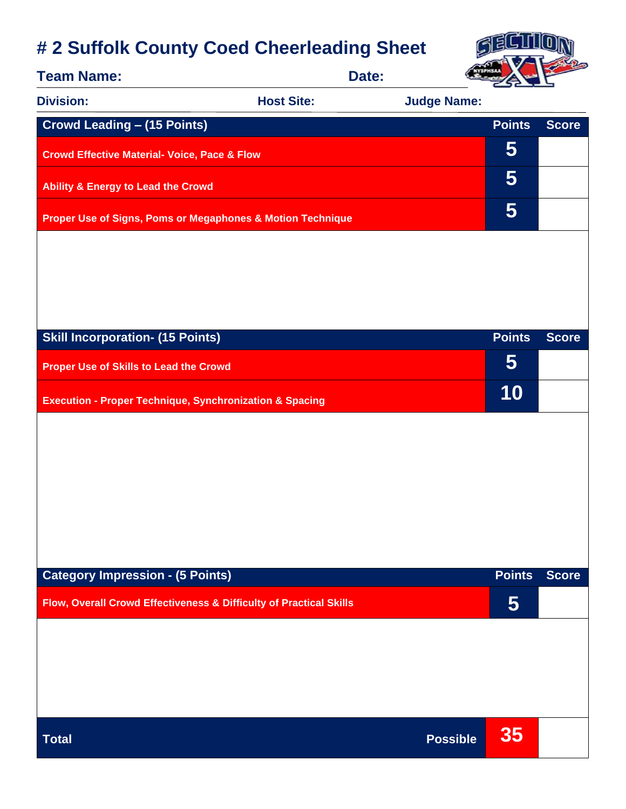## **# 2 Suffolk County Coed Cheerleading Sheet**



| <b>Team Name:</b>                                                  | Date:             |                    |                 |              |
|--------------------------------------------------------------------|-------------------|--------------------|-----------------|--------------|
| <b>Division:</b>                                                   | <b>Host Site:</b> | <b>Judge Name:</b> |                 |              |
| <b>Crowd Leading - (15 Points)</b>                                 |                   |                    | <b>Points</b>   | <b>Score</b> |
| <b>Crowd Effective Material- Voice, Pace &amp; Flow</b>            |                   |                    | 5               |              |
| <b>Ability &amp; Energy to Lead the Crowd</b>                      |                   |                    | $5\overline{)}$ |              |
| Proper Use of Signs, Poms or Megaphones & Motion Technique         | 5                 |                    |                 |              |
|                                                                    |                   |                    |                 |              |
|                                                                    |                   |                    |                 |              |
|                                                                    |                   |                    |                 |              |
| <b>Skill Incorporation- (15 Points)</b>                            |                   |                    | <b>Points</b>   | <b>Score</b> |
| <b>Proper Use of Skills to Lead the Crowd</b>                      |                   |                    | 5               |              |
| <b>Execution - Proper Technique, Synchronization &amp; Spacing</b> |                   |                    | 10              |              |
|                                                                    |                   |                    |                 |              |
|                                                                    |                   |                    |                 |              |
|                                                                    |                   |                    |                 |              |
|                                                                    |                   |                    |                 |              |
|                                                                    |                   |                    |                 |              |
| <b>Category Impression - (5 Points)</b>                            |                   |                    | <b>Points</b>   | <b>Score</b> |
| Flow, Overall Crowd Effectiveness & Difficulty of Practical Skills |                   |                    | 5               |              |
|                                                                    |                   |                    |                 |              |
|                                                                    |                   |                    |                 |              |
|                                                                    |                   |                    |                 |              |
|                                                                    |                   |                    |                 |              |
| <b>Total</b>                                                       |                   | <b>Possible</b>    | 35              |              |